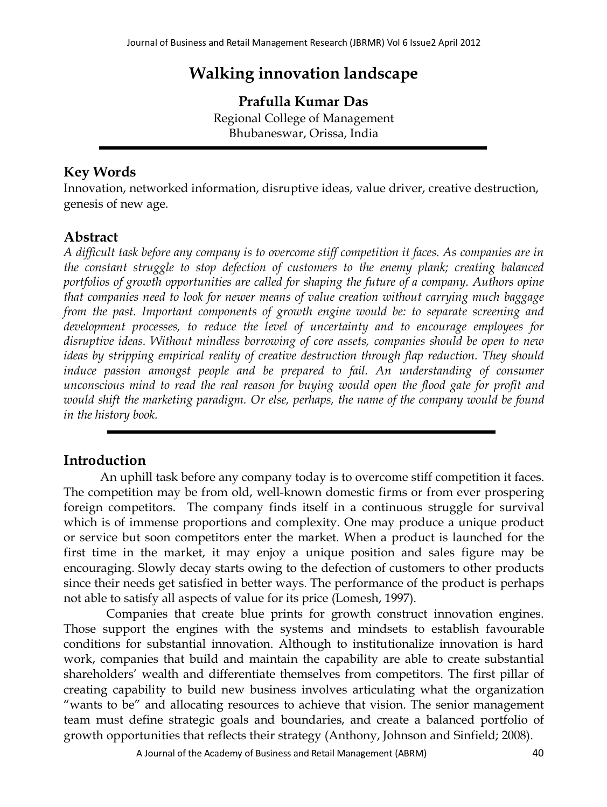# **Walking innovation landscape**

**Prafulla Kumar Das** Regional College of Management Bhubaneswar, Orissa, India

## **Key Words**

Innovation, networked information, disruptive ideas, value driver, creative destruction, genesis of new age.

## **Abstract**

*A difficult task before any company is to overcome stiff competition it faces. As companies are in the constant struggle to stop defection of customers to the enemy plank; creating balanced portfolios of growth opportunities are called for shaping the future of a company. Authors opine that companies need to look for newer means of value creation without carrying much baggage from the past. Important components of growth engine would be: to separate screening and development processes, to reduce the level of uncertainty and to encourage employees for disruptive ideas. Without mindless borrowing of core assets, companies should be open to new ideas by stripping empirical reality of creative destruction through flap reduction. They should*  induce passion amongst people and be prepared to fail. An understanding of consumer *unconscious mind to read the real reason for buying would open the flood gate for profit and*  would shift the marketing paradigm. Or else, perhaps, the name of the company would be found *in the history book.* 

## **Introduction**

 An uphill task before any company today is to overcome stiff competition it faces. The competition may be from old, well-known domestic firms or from ever prospering foreign competitors. The company finds itself in a continuous struggle for survival which is of immense proportions and complexity. One may produce a unique product or service but soon competitors enter the market. When a product is launched for the first time in the market, it may enjoy a unique position and sales figure may be encouraging. Slowly decay starts owing to the defection of customers to other products since their needs get satisfied in better ways. The performance of the product is perhaps not able to satisfy all aspects of value for its price (Lomesh, 1997).

 Companies that create blue prints for growth construct innovation engines. Those support the engines with the systems and mindsets to establish favourable conditions for substantial innovation. Although to institutionalize innovation is hard work, companies that build and maintain the capability are able to create substantial shareholders' wealth and differentiate themselves from competitors. The first pillar of creating capability to build new business involves articulating what the organization "wants to be" and allocating resources to achieve that vision. The senior management team must define strategic goals and boundaries, and create a balanced portfolio of growth opportunities that reflects their strategy (Anthony, Johnson and Sinfield; 2008).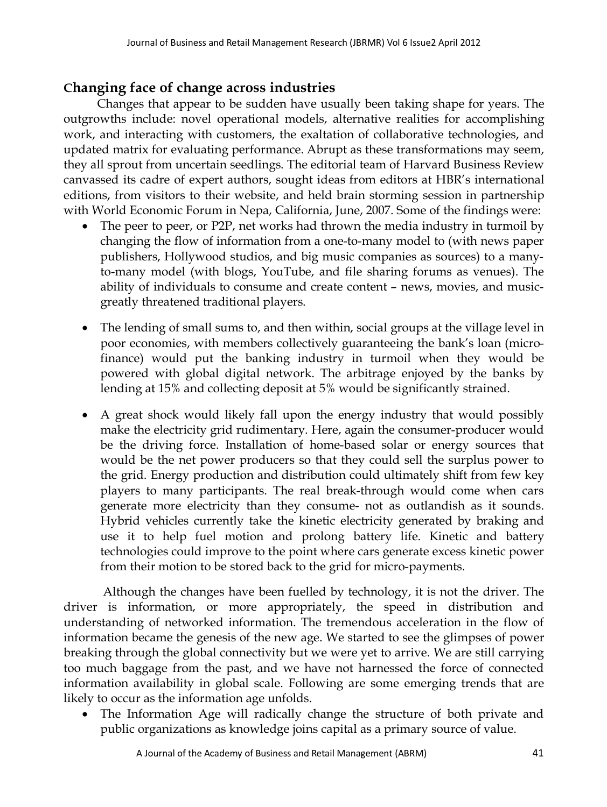#### **Changing face of change across industries**

 Changes that appear to be sudden have usually been taking shape for years. The outgrowths include: novel operational models, alternative realities for accomplishing work, and interacting with customers, the exaltation of collaborative technologies, and updated matrix for evaluating performance. Abrupt as these transformations may seem, they all sprout from uncertain seedlings. The editorial team of Harvard Business Review canvassed its cadre of expert authors, sought ideas from editors at HBR's international editions, from visitors to their website, and held brain storming session in partnership with World Economic Forum in Nepa, California, June, 2007. Some of the findings were:

- The peer to peer, or P2P, net works had thrown the media industry in turmoil by changing the flow of information from a one-to-many model to (with news paper publishers, Hollywood studios, and big music companies as sources) to a manyto-many model (with blogs, YouTube, and file sharing forums as venues). The ability of individuals to consume and create content – news, movies, and musicgreatly threatened traditional players.
- The lending of small sums to, and then within, social groups at the village level in poor economies, with members collectively guaranteeing the bank's loan (microfinance) would put the banking industry in turmoil when they would be powered with global digital network. The arbitrage enjoyed by the banks by lending at 15% and collecting deposit at 5% would be significantly strained.
- A great shock would likely fall upon the energy industry that would possibly make the electricity grid rudimentary. Here, again the consumer-producer would be the driving force. Installation of home-based solar or energy sources that would be the net power producers so that they could sell the surplus power to the grid. Energy production and distribution could ultimately shift from few key players to many participants. The real break-through would come when cars generate more electricity than they consume- not as outlandish as it sounds. Hybrid vehicles currently take the kinetic electricity generated by braking and use it to help fuel motion and prolong battery life. Kinetic and battery technologies could improve to the point where cars generate excess kinetic power from their motion to be stored back to the grid for micro-payments.

 Although the changes have been fuelled by technology, it is not the driver. The driver is information, or more appropriately, the speed in distribution and understanding of networked information. The tremendous acceleration in the flow of information became the genesis of the new age. We started to see the glimpses of power breaking through the global connectivity but we were yet to arrive. We are still carrying too much baggage from the past, and we have not harnessed the force of connected information availability in global scale. Following are some emerging trends that are likely to occur as the information age unfolds.

 The Information Age will radically change the structure of both private and public organizations as knowledge joins capital as a primary source of value.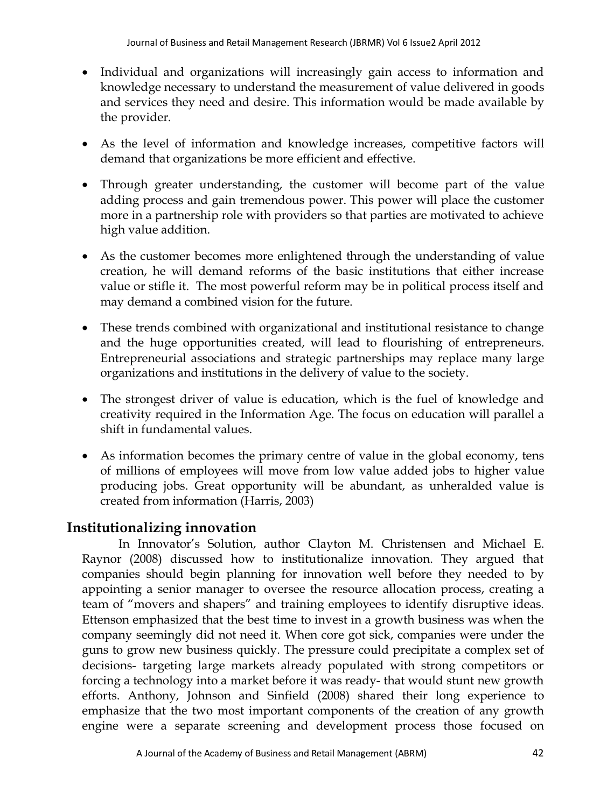- Individual and organizations will increasingly gain access to information and knowledge necessary to understand the measurement of value delivered in goods and services they need and desire. This information would be made available by the provider.
- As the level of information and knowledge increases, competitive factors will demand that organizations be more efficient and effective.
- Through greater understanding, the customer will become part of the value adding process and gain tremendous power. This power will place the customer more in a partnership role with providers so that parties are motivated to achieve high value addition.
- As the customer becomes more enlightened through the understanding of value creation, he will demand reforms of the basic institutions that either increase value or stifle it. The most powerful reform may be in political process itself and may demand a combined vision for the future.
- These trends combined with organizational and institutional resistance to change and the huge opportunities created, will lead to flourishing of entrepreneurs. Entrepreneurial associations and strategic partnerships may replace many large organizations and institutions in the delivery of value to the society.
- The strongest driver of value is education, which is the fuel of knowledge and creativity required in the Information Age. The focus on education will parallel a shift in fundamental values.
- As information becomes the primary centre of value in the global economy, tens of millions of employees will move from low value added jobs to higher value producing jobs. Great opportunity will be abundant, as unheralded value is created from information (Harris, 2003)

# **Institutionalizing innovation**

 In Innovator's Solution, author Clayton M. Christensen and Michael E. Raynor (2008) discussed how to institutionalize innovation. They argued that companies should begin planning for innovation well before they needed to by appointing a senior manager to oversee the resource allocation process, creating a team of "movers and shapers" and training employees to identify disruptive ideas. Ettenson emphasized that the best time to invest in a growth business was when the company seemingly did not need it. When core got sick, companies were under the guns to grow new business quickly. The pressure could precipitate a complex set of decisions- targeting large markets already populated with strong competitors or forcing a technology into a market before it was ready- that would stunt new growth efforts. Anthony, Johnson and Sinfield (2008) shared their long experience to emphasize that the two most important components of the creation of any growth engine were a separate screening and development process those focused on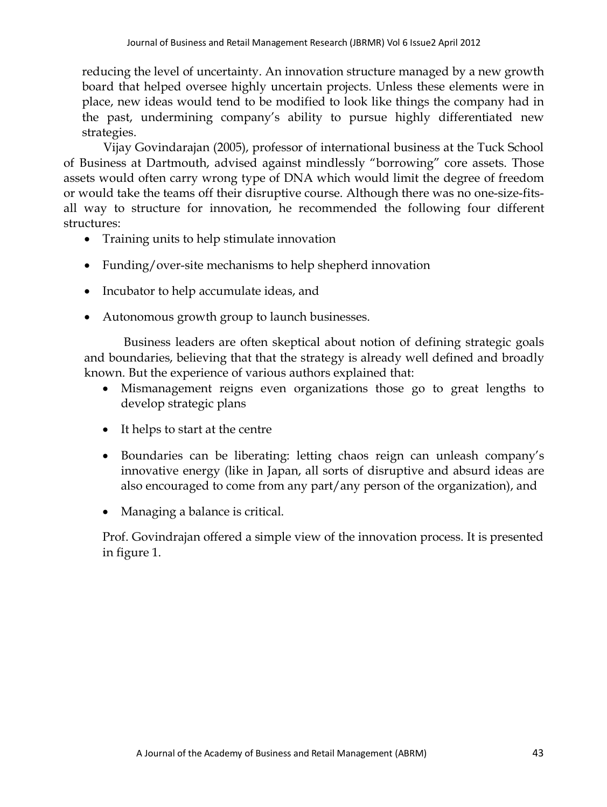reducing the level of uncertainty. An innovation structure managed by a new growth board that helped oversee highly uncertain projects. Unless these elements were in place, new ideas would tend to be modified to look like things the company had in the past, undermining company's ability to pursue highly differentiated new strategies.

 Vijay Govindarajan (2005), professor of international business at the Tuck School of Business at Dartmouth, advised against mindlessly "borrowing" core assets. Those assets would often carry wrong type of DNA which would limit the degree of freedom or would take the teams off their disruptive course. Although there was no one-size-fitsall way to structure for innovation, he recommended the following four different structures:

- Training units to help stimulate innovation
- Funding/over-site mechanisms to help shepherd innovation
- Incubator to help accumulate ideas, and
- Autonomous growth group to launch businesses.

 Business leaders are often skeptical about notion of defining strategic goals and boundaries, believing that that the strategy is already well defined and broadly known. But the experience of various authors explained that:

- Mismanagement reigns even organizations those go to great lengths to develop strategic plans
- It helps to start at the centre
- Boundaries can be liberating: letting chaos reign can unleash company's innovative energy (like in Japan, all sorts of disruptive and absurd ideas are also encouraged to come from any part/any person of the organization), and
- Managing a balance is critical.

Prof. Govindrajan offered a simple view of the innovation process. It is presented in figure 1.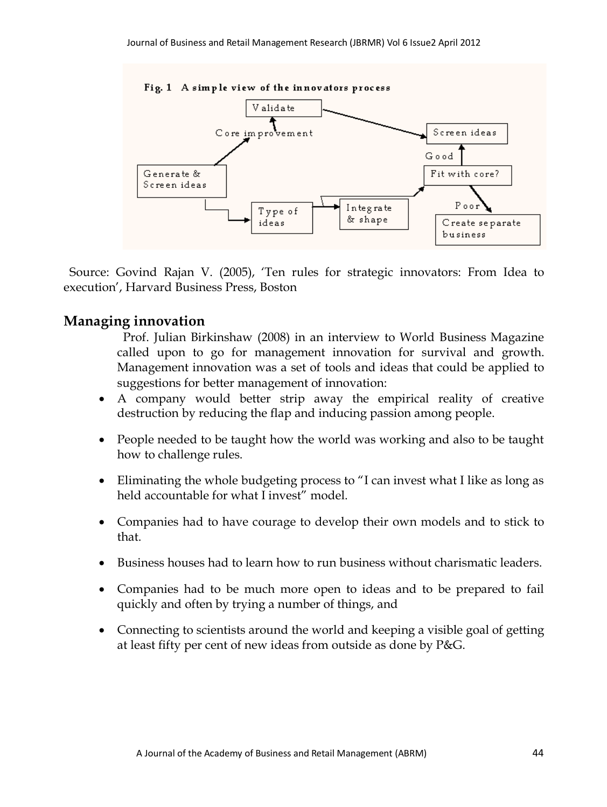

Fig. 1 A simple view of the innovators process

 Source: Govind Rajan V. (2005), 'Ten rules for strategic innovators: From Idea to execution', Harvard Business Press, Boston

#### **Managing innovation**

- Prof. Julian Birkinshaw (2008) in an interview to World Business Magazine called upon to go for management innovation for survival and growth. Management innovation was a set of tools and ideas that could be applied to suggestions for better management of innovation:
- A company would better strip away the empirical reality of creative destruction by reducing the flap and inducing passion among people.
- People needed to be taught how the world was working and also to be taught how to challenge rules.
- Eliminating the whole budgeting process to "I can invest what I like as long as held accountable for what I invest" model.
- Companies had to have courage to develop their own models and to stick to that.
- Business houses had to learn how to run business without charismatic leaders.
- Companies had to be much more open to ideas and to be prepared to fail quickly and often by trying a number of things, and
- Connecting to scientists around the world and keeping a visible goal of getting at least fifty per cent of new ideas from outside as done by P&G.